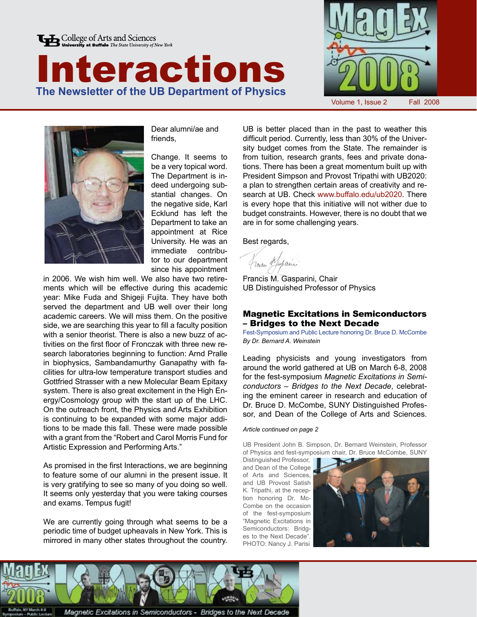







Dear alumni/ae and friends,

Change. It seems to be a very topical word. The Department is indeed undergoing substantial changes. On the negative side, Karl Ecklund has left the Department to take an appointment at Rice University. He was an immediate contributor to our department since his appointment

in 2006. We wish him well. We also have two retirements which will be effective during this academic year: Mike Fuda and Shigeji Fujita. They have both served the department and UB well over their long academic careers. We will miss them. On the positive side, we are searching this year to fill a faculty position with a senior theorist. There is also a new buzz of activities on the first floor of Fronczak with three new research laboratories beginning to function: Arnd Pralle in biophysics, Sambandamurthy Ganapathy with facilities for ultra-low temperature transport studies and Gottfried Strasser with a new Molecular Beam Epitaxy system. There is also great excitement in the High Energy/Cosmology group with the start up of the LHC. On the outreach front, the Physics and Arts Exhibition is continuing to be expanded with some major additions to be made this fall. These were made possible with a grant from the "Robert and Carol Morris Fund for Artistic Expression and Performing Arts."

As promised in the first Interactions, we are beginning to feature some of our alumni in the present issue. It is very gratifying to see so many of you doing so well. It seems only yesterday that you were taking courses and exams. Tempus fugit!

We are currently going through what seems to be a periodic time of budget upheavals in New York. This is mirrored in many other states throughout the country.

UB is better placed than in the past to weather this difficult period. Currently, less than 30% of the University budget comes from the State. The remainder is from tuition, research grants, fees and private donations. There has been a great momentum built up with President Simpson and Provost Tripathi with UB2020: a plan to strengthen certain areas of creativity and research at UB. Check www.buffalo.edu/ub2020. There is every hope that this initiative will not wither due to budget constraints. However, there is no doubt that we are in for some challenging years.

Best regards,

from Mapain

Francis M. Gasparini, Chair UB Distinguished Professor of Physics

## Magnetic Excitations in Semiconductors – Bridges to the Next Decade

Fest-Symposium and Public Lecture honoring Dr. Bruce D. McCombe *By Dr. Bernard A. Weinstein*

Leading physicists and young investigators from around the world gathered at UB on March 6-8, 2008 for the fest-symposium *Magnetic Excitations in Semiconductors – Bridges to the Next Decade*, celebrating the eminent career in research and education of Dr. Bruce D. McCombe, SUNY Distinguished Professor, and Dean of the College of Arts and Sciences.

#### *Article continued on page 2*

UB President John B. Simpson, Dr. Bernard Weinstein, Professor of Physics and fest-symposium chair, Dr. Bruce McCombe, SUNY

Distinguished Professor, and Dean of the College of Arts and Sciences, and UB Provost Satish K. Tripathi, at the reception honoring Dr. Mc-Combe on the occasion of the fest-symposium "Magnetic Excitations in Semiconductors: Bridges to the Next Decade". PHOTO: Nancy J. Parisi





Magnetic Excitations in Semiconductors - Bridges to the Next Decade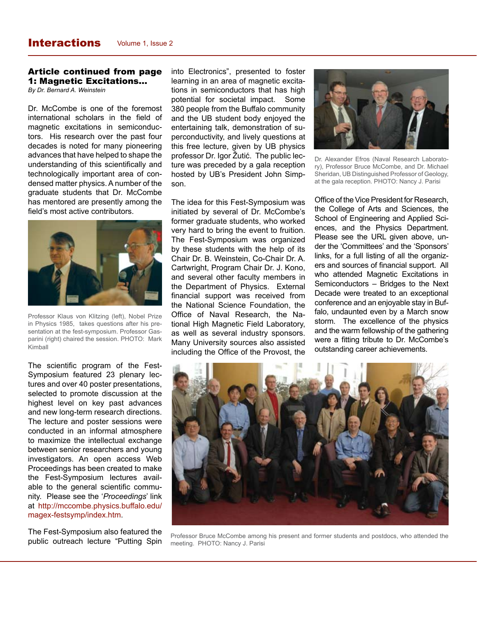### Article continued from page 1: Magnetic Excitations...

*By Dr. Bernard A. Weinstein*

Dr. McCombe is one of the foremost international scholars in the field of magnetic excitations in semiconductors. His research over the past four decades is noted for many pioneering advances that have helped to shape the understanding of this scientifically and technologically important area of condensed matter physics. A number of the graduate students that Dr. McCombe has mentored are presently among the field's most active contributors.



Professor Klaus von Klitzing (left), Nobel Prize in Physics 1985, takes questions after his presentation at the fest-symposium. Professor Gasparini (right) chaired the session. PHOTO: Mark Kimball

The scientific program of the Fest-Symposium featured 23 plenary lectures and over 40 poster presentations, selected to promote discussion at the highest level on key past advances and new long-term research directions. The lecture and poster sessions were conducted in an informal atmosphere to maximize the intellectual exchange between senior researchers and young investigators. An open access Web Proceedings has been created to make the Fest-Symposium lectures available to the general scientific community. Please see the '*Proceedings*' link at http://mccombe.physics.buffalo.edu/ magex-festsymp/index.htm.

The Fest-Symposium also featured the public outreach lecture "Putting Spin

into Electronics", presented to foster learning in an area of magnetic excitations in semiconductors that has high potential for societal impact. Some 380 people from the Buffalo community and the UB student body enjoyed the entertaining talk, demonstration of superconductivity, and lively questions at this free lecture, given by UB physics professor Dr. Igor Žutić. The public lecture was preceded by a gala reception hosted by UB's President John Simpson.

The idea for this Fest-Symposium was initiated by several of Dr. McCombe's former graduate students, who worked very hard to bring the event to fruition. The Fest-Symposium was organized by these students with the help of its Chair Dr. B. Weinstein, Co-Chair Dr. A. Cartwright, Program Chair Dr. J. Kono, and several other faculty members in the Department of Physics. External financial support was received from the National Science Foundation, the Office of Naval Research, the National High Magnetic Field Laboratory, as well as several industry sponsors. Many University sources also assisted including the Office of the Provost, the



Dr. Alexander Efros (Naval Research Laboratory), Professor Bruce McCombe, and Dr. Michael Sheridan, UB Distinguished Professor of Geology, at the gala reception. PHOTO: Nancy J. Parisi

Office of the Vice President for Research, the College of Arts and Sciences, the School of Engineering and Applied Sciences, and the Physics Department. Please see the URL given above, under the 'Committees' and the 'Sponsors' links, for a full listing of all the organizers and sources of financial support. All who attended Magnetic Excitations in Semiconductors – Bridges to the Next Decade were treated to an exceptional conference and an enjoyable stay in Buffalo, undaunted even by a March snow storm. The excellence of the physics and the warm fellowship of the gathering were a fitting tribute to Dr. McCombe's outstanding career achievements.



Professor Bruce McCombe among his present and former students and postdocs, who attended the meeting. PHOTO: Nancy J. Parisi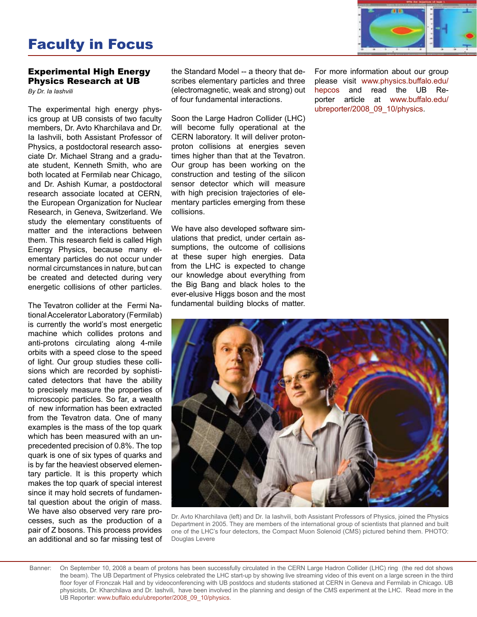# Faculty in Focus



## Experimental High Energy Physics Research at UB

*By Dr. Ia Iashvili*

The experimental high energy physics group at UB consists of two faculty members, Dr. Avto Kharchilava and Dr. Ia Iashvili, both Assistant Professor of Physics, a postdoctoral research associate Dr. Michael Strang and a graduate student, Kenneth Smith, who are both located at Fermilab near Chicago, and Dr. Ashish Kumar, a postdoctoral research associate located at CERN, the European Organization for Nuclear Research, in Geneva, Switzerland. We study the elementary constituents of matter and the interactions between them. This research field is called High Energy Physics, because many elementary particles do not occur under normal circumstances in nature, but can be created and detected during very energetic collisions of other particles.

The Tevatron collider at the Fermi National Accelerator Laboratory (Fermilab) is currently the world's most energetic machine which collides protons and anti-protons circulating along 4-mile orbits with a speed close to the speed of light. Our group studies these collisions which are recorded by sophisticated detectors that have the ability to precisely measure the properties of microscopic particles. So far, a wealth of new information has been extracted from the Tevatron data. One of many examples is the mass of the top quark which has been measured with an unprecedented precision of 0.8%. The top quark is one of six types of quarks and is by far the heaviest observed elementary particle. It is this property which makes the top quark of special interest since it may hold secrets of fundamental question about the origin of mass. We have also observed very rare processes, such as the production of a pair of Z bosons. This process provides an additional and so far missing test of

the Standard Model -- a theory that describes elementary particles and three (electromagnetic, weak and strong) out of four fundamental interactions.

Soon the Large Hadron Collider (LHC) will become fully operational at the CERN laboratory. It will deliver protonproton collisions at energies seven times higher than that at the Tevatron. Our group has been working on the construction and testing of the silicon sensor detector which will measure with high precision trajectories of elementary particles emerging from these collisions.

We have also developed software simulations that predict, under certain assumptions, the outcome of collisions at these super high energies. Data from the LHC is expected to change our knowledge about everything from the Big Bang and black holes to the ever-elusive Higgs boson and the most fundamental building blocks of matter.

For more information about our group please visit www.physics.buffalo.edu/ hepcos and read the UB Reporter article at www.buffalo.edu/ ubreporter/2008\_09\_10/physics.



Dr. Avto Kharchilava (left) and Dr. Ia Iashvili, both Assistant Professors of Physics, joined the Physics Department in 2005. They are members of the international group of scientists that planned and built one of the LHC's four detectors, the Compact Muon Solenoid (CMS) pictured behind them. PHOTO: Douglas Levere

On September 10, 2008 a beam of protons has been successfully circulated in the CERN Large Hadron Collider (LHC) ring (the red dot shows the beam). The UB Department of Physics celebrated the LHC start-up by showing live streaming video of this event on a large screen in the third floor foyer of Fronczak Hall and by videoconferencing with UB postdocs and students stationed at CERN in Geneva and Fermilab in Chicago. UB physicists, Dr. Kharchilava and Dr. Iashvili, have been involved in the planning and design of the CMS experiment at the LHC. Read more in the UB Reporter: www.buffalo.edu/ubreporter/2008\_09\_10/physics. Banner: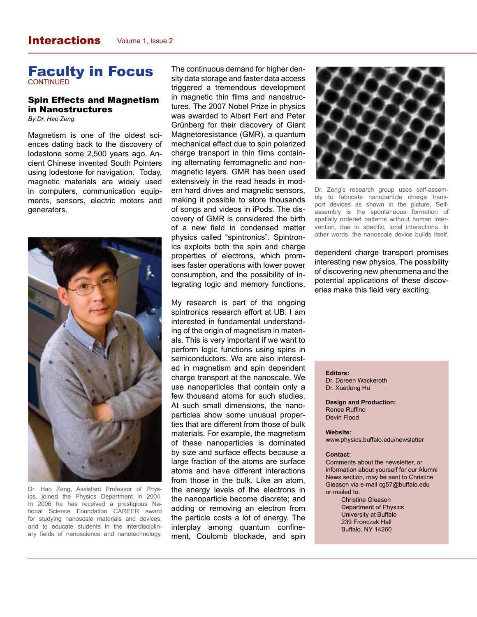# Faculty in Focus **CONTINUED**

# Spin Effects and Magnetism in Nanostructures

*By Dr. Hao Zeng*

Magnetism is one of the oldest sciences dating back to the discovery of lodestone some 2,500 years ago. Ancient Chinese invented South Pointers using lodestone for navigation. Today, magnetic materials are widely used in computers, communication equipments, sensors, electric motors and generators.



Dr. Hao Zeng, Assistant Professor of Physics, joined the Physics Department in 2004. In 2006 he has received a prestigious National Science Foundation CAREER award for studying nanoscale materials and devices, and to educate students in the interdisciplinary fields of nanoscience and nanotechnology.

The continuous demand for higher density data storage and faster data access triggered a tremendous development in magnetic thin films and nanostructures. The 2007 Nobel Prize in physics was awarded to Albert Fert and Peter Grünberg for their discovery of Giant Magnetoresistance (GMR), a quantum mechanical effect due to spin polarized charge transport in thin films containing alternating ferromagnetic and nonmagnetic layers. GMR has been used extensively in the read heads in modern hard drives and magnetic sensors, making it possible to store thousands of songs and videos in iPods. The discovery of GMR is considered the birth of a new field in condensed matter physics called "spintronics". Spintronics exploits both the spin and charge properties of electrons, which promises faster operations with lower power consumption, and the possibility of integrating logic and memory functions.

My research is part of the ongoing spintronics research effort at UB. I am interested in fundamental understanding of the origin of magnetism in materials. This is very important if we want to perform logic functions using spins in semiconductors. We are also interested in magnetism and spin dependent charge transport at the nanoscale. We use nanoparticles that contain only a few thousand atoms for such studies. At such small dimensions, the nanoparticles show some unusual properties that are different from those of bulk materials. For example, the magnetism of these nanoparticles is dominated by size and surface effects because a large fraction of the atoms are surface atoms and have different interactions from those in the bulk. Like an atom, the energy levels of the electrons in the nanoparticle become discrete; and adding or removing an electron from the particle costs a lot of energy. The interplay among quantum confinement, Coulomb blockade, and spin



Dr. Zeng's research group uses self-assembly to fabricate nanoparticle charge transport devices as shown in the picture. Selfassembly is the spontaneous formation of spatially ordered patterns without human intervention, due to specific, local interactions. In other words, the nanoscale device builds itself.

dependent charge transport promises interesting new physics. The possibility of discovering new phenomena and the potential applications of these discoveries make this field very exciting.

**Editors:** 

Dr. Doreen Wackeroth Dr. Xuedong Hu

**Design and Production:** Renee Ruffino Devin Flood

#### **Website:**

www.physics.buffalo.edu/newsletter

#### **Contact:**

Comments about the newsletter, or information about yourself for our Alumni News section, may be sent to Christine Gleason via e-mail cg57@buffalo.edu or mailed to:

> Christine Gleason Department of Physics University at Buffalo 239 Fronczak Hall Buffalo, NY 14260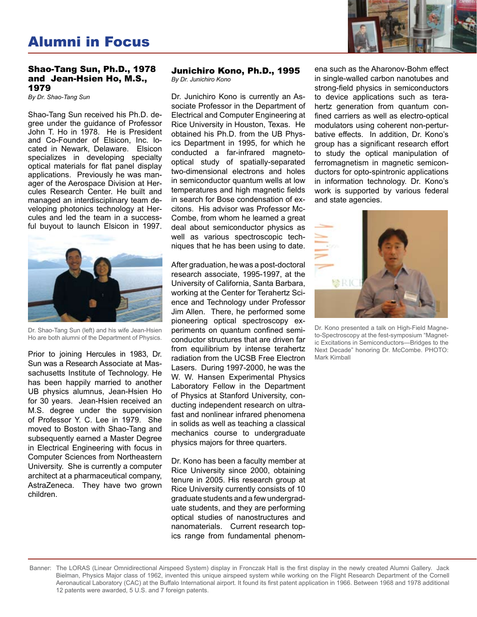# Alumni in Focus



## Shao-Tang Sun, Ph.D., 1978 and Jean-Hsien Ho, M.S., 1979

*By Dr. Shao-Tang Sun*

Shao-Tang Sun received his Ph.D. degree under the guidance of Professor John T. Ho in 1978. He is President and Co-Founder of Elsicon, Inc. located in Newark, Delaware. Elsicon specializes in developing specialty optical materials for flat panel display applications. Previously he was manager of the Aerospace Division at Hercules Research Center. He built and managed an interdisciplinary team developing photonics technology at Hercules and led the team in a successful buyout to launch Elsicon in 1997.



Dr. Shao-Tang Sun (left) and his wife Jean-Hsien Ho are both alumni of the Department of Physics.

Prior to joining Hercules in 1983, Dr. Sun was a Research Associate at Massachusetts Institute of Technology. He has been happily married to another UB physics alumnus, Jean-Hsien Ho for 30 years. Jean-Hsien received an M.S. degree under the supervision of Professor Y. C. Lee in 1979. She moved to Boston with Shao-Tang and subsequently earned a Master Degree in Electrical Engineering with focus in Computer Sciences from Northeastern University. She is currently a computer architect at a pharmaceutical company, AstraZeneca. They have two grown children.

#### Junichiro Kono, Ph.D., 1995 *By Dr. Junichiro Kono*

Dr. Junichiro Kono is currently an Associate Professor in the Department of Electrical and Computer Engineering at Rice University in Houston, Texas. He obtained his Ph.D. from the UB Physics Department in 1995, for which he conducted a far-infrared magnetooptical study of spatially-separated two-dimensional electrons and holes in semiconductor quantum wells at low temperatures and high magnetic fields in search for Bose condensation of excitons. His advisor was Professor Mc-Combe, from whom he learned a great deal about semiconductor physics as well as various spectroscopic techniques that he has been using to date.

After graduation, he was a post-doctoral research associate, 1995-1997, at the University of California, Santa Barbara, working at the Center for Terahertz Science and Technology under Professor Jim Allen. There, he performed some pioneering optical spectroscopy experiments on quantum confined semiconductor structures that are driven far from equilibrium by intense terahertz radiation from the UCSB Free Electron Lasers. During 1997-2000, he was the W. W. Hansen Experimental Physics Laboratory Fellow in the Department of Physics at Stanford University, conducting independent research on ultrafast and nonlinear infrared phenomena in solids as well as teaching a classical mechanics course to undergraduate physics majors for three quarters.

Dr. Kono has been a faculty member at Rice University since 2000, obtaining tenure in 2005. His research group at Rice University currently consists of 10 graduate students and a few undergraduate students, and they are performing optical studies of nanostructures and nanomaterials. Current research topics range from fundamental phenomena such as the Aharonov-Bohm effect in single-walled carbon nanotubes and strong-field physics in semiconductors to device applications such as terahertz generation from quantum confined carriers as well as electro-optical modulators using coherent non-perturbative effects. In addition, Dr. Kono's group has a significant research effort to study the optical manipulation of ferromagnetism in magnetic semiconductors for opto-spintronic applications in information technology. Dr. Kono's work is supported by various federal and state agencies.



Dr. Kono presented a talk on High-Field Magneto-Spectroscopy at the fest-symposium "Magnetic Excitations in Semiconductors—Bridges to the Next Decade" honoring Dr. McCombe. PHOTO: Mark Kimball

Banner: The LORAS (Linear Omnidirectional Airspeed System) display in Fronczak Hall is the first display in the newly created Alumni Gallery. Jack Bielman, Physics Major class of 1962, invented this unique airspeed system while working on the Flight Research Department of the Cornell Aeronautical Laboratory (CAC) at the Buffalo International airport. It found its first patent application in 1966. Between 1968 and 1978 additional 12 patents were awarded, 5 U.S. and 7 foreign patents.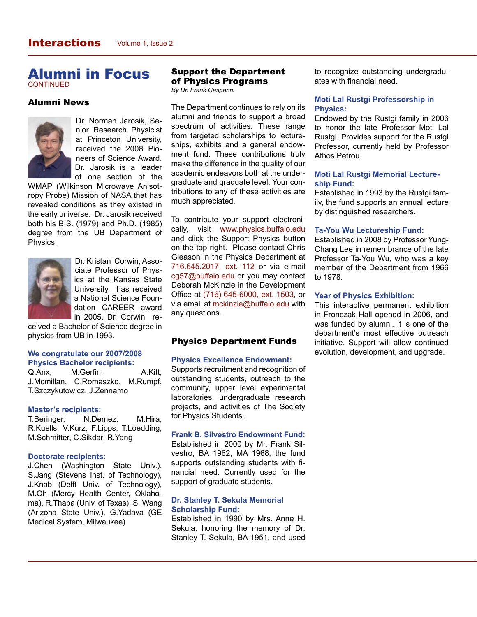# Alumni in Focus **CONTINUED**

# Alumni News



Dr. Norman Jarosik, Senior Research Physicist at Princeton University, received the 2008 Pioneers of Science Award. Dr. Jarosik is a leader of one section of the

WMAP (Wilkinson Microwave Anisotropy Probe) Mission of NASA that has revealed conditions as they existed in the early universe. Dr. Jarosik received both his B.S. (1979) and Ph.D. (1985) degree from the UB Department of Physics.



Dr. Kristan Corwin, Associate Professor of Physics at the Kansas State University, has received a National Science Foundation CAREER award in 2005. Dr. Corwin re-

ceived a Bachelor of Science degree in physics from UB in 1993.

#### **We congratulate our 2007/2008 Physics Bachelor recipients:**

Q.Anx, M.Gerfin, A.Kitt, J.Mcmillan, C.Romaszko, M.Rumpf, T.Szczykutowicz, J.Zennamo

#### **Master's recipients:**

T.Beringer, N.Demez, M.Hira, R.Kuells, V.Kurz, F.Lipps, T.Loedding, M.Schmitter, C.Sikdar, R.Yang

### **Doctorate recipients:**

J.Chen (Washington State Univ.), S.Jang (Stevens Inst. of Technology), J.Knab (Delft Univ. of Technology), M.Oh (Mercy Health Center, Oklahoma), R.Thapa (Univ. of Texas), S. Wang (Arizona State Univ.), G.Yadava (GE Medical System, Milwaukee)

## Support the Department of Physics Programs

*By Dr. Frank Gasparini*

The Department continues to rely on its alumni and friends to support a broad spectrum of activities. These range from targeted scholarships to lectureships, exhibits and a general endowment fund. These contributions truly make the difference in the quality of our academic endeavors both at the undergraduate and graduate level. Your contributions to any of these activities are much appreciated.

To contribute your support electronically, visit www.physics.buffalo.edu and click the Support Physics button on the top right. Please contact Chris Gleason in the Physics Department at 716.645.2017, ext. 112 or via e-mail cg57@buffalo.edu or you may contact Deborah McKinzie in the Development Office at (716) 645-6000, ext. 1503, or via email at mckinzie@buffalo.edu with any questions.

## Physics Department Funds

### **Physics Excellence Endowment:**

Supports recruitment and recognition of outstanding students, outreach to the community, upper level experimental laboratories, undergraduate research projects, and activities of The Society for Physics Students.

#### **Frank B. Silvestro Endowment Fund:**

Established in 2000 by Mr. Frank Silvestro, BA 1962, MA 1968, the fund supports outstanding students with financial need. Currently used for the support of graduate students.

## **Dr. Stanley T. Sekula Memorial Scholarship Fund:**

Established in 1990 by Mrs. Anne H. Sekula, honoring the memory of Dr. Stanley T. Sekula, BA 1951, and used to recognize outstanding undergraduates with financial need.

## **Moti Lal Rustgi Professorship in Physics:**

Endowed by the Rustgi family in 2006 to honor the late Professor Moti Lal Rustgi. Provides support for the Rustgi Professor, currently held by Professor Athos Petrou.

### **Moti Lal Rustgi Memorial Lectureship Fund:**

Established in 1993 by the Rustgi family, the fund supports an annual lecture by distinguished researchers.

#### **Ta-You Wu Lectureship Fund:**

Established in 2008 by Professor Yung-Chang Lee in remembrance of the late Professor Ta-You Wu, who was a key member of the Department from 1966 to 1978.

#### **Year of Physics Exhibition:**

This interactive permanent exhibition in Fronczak Hall opened in 2006, and was funded by alumni. It is one of the department's most effective outreach initiative. Support will allow continued evolution, development, and upgrade.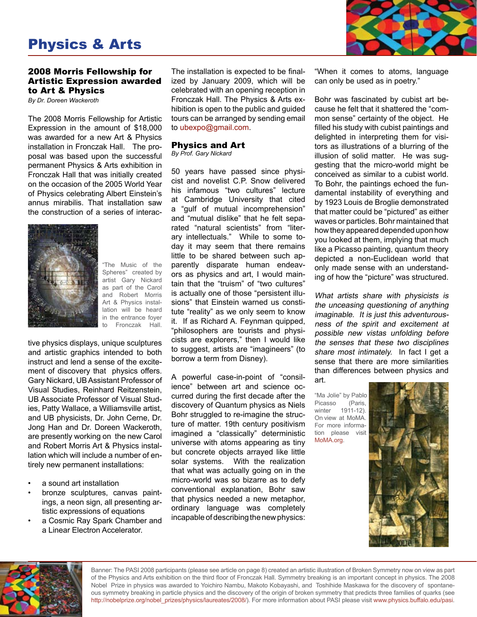# Physics & Arts

## 2008 Morris Fellowship for Artistic Expression awarded to Art & Physics

*By Dr. Doreen Wackeroth*

The 2008 Morris Fellowship for Artistic Expression in the amount of \$18,000 was awarded for a new Art & Physics installation in Fronczak Hall. The proposal was based upon the successful permanent Physics & Arts exhibition in Fronczak Hall that was initially created on the occasion of the 2005 World Year of Physics celebrating Albert Einstein's annus mirabilis. That installation saw the construction of a series of interac-



"The Music of the Spheres" created by artist Gary Nickard as part of the Carol and Robert Morris Art & Physics installation will be heard in the entrance foyer to Fronczak Hall.

tive physics displays, unique sculptures and artistic graphics intended to both instruct and lend a sense of the excitement of discovery that physics offers. Gary Nickard, UB Assistant Professor of Visual Studies, Reinhard Reitzenstein, UB Associate Professor of Visual Studies, Patty Wallace, a Williamsville artist, and UB physicists, Dr. John Cerne, Dr. Jong Han and Dr. Doreen Wackeroth, are presently working on the new Carol and Robert Morris Art & Physics installation which will include a number of entirely new permanent installations:

- a sound art installation
- bronze sculptures, canvas paintings, a neon sign, all presenting artistic expressions of equations
- a Cosmic Ray Spark Chamber and a Linear Electron Accelerator.

The installation is expected to be finalized by January 2009, which will be celebrated with an opening reception in Fronczak Hall. The Physics & Arts exhibition is open to the public and guided tours can be arranged by sending email to ubexpo@gmail.com.

#### Physics and Art *By Prof. Gary Nickard*

50 years have passed since physicist and novelist C.P. Snow delivered his infamous "two cultures" lecture at Cambridge University that cited a "gulf of mutual incomprehension" and "mutual dislike" that he felt separated "natural scientists" from "literary intellectuals." While to some today it may seem that there remains little to be shared between such apparently disparate human endeavors as physics and art, I would maintain that the "truism" of "two cultures" is actually one of those "persistent illusions" that Einstein warned us constitute "reality" as we only seem to know it. If as Richard A. Feynman quipped, "philosophers are tourists and physicists are explorers," then I would like to suggest, artists are "imagineers" (to borrow a term from Disney).

A powerful case-in-point of "consilience" between art and science occurred during the first decade after the discovery of Quantum physics as Niels Bohr struggled to re-imagine the structure of matter. 19th century positivism imagined a "classically" deterministic universe with atoms appearing as tiny but concrete objects arrayed like little solar systems. With the realization that what was actually going on in the micro-world was so bizarre as to defy conventional explanation, Bohr saw that physics needed a new metaphor, ordinary language was completely incapable of describing the new physics:



"When it comes to atoms, language can only be used as in poetry."

Bohr was fascinated by cubist art because he felt that it shattered the "common sense" certainty of the object. He filled his study with cubist paintings and delighted in interpreting them for visitors as illustrations of a blurring of the illusion of solid matter. He was suggesting that the micro-world might be conceived as similar to a cubist world. To Bohr, the paintings echoed the fundamental instability of everything and by 1923 Louis de Broglie demonstrated that matter could be "pictured" as either waves or particles. Bohr maintained that how they appeared depended upon how you looked at them, implying that much like a Picasso painting, quantum theory depicted a non-Euclidean world that only made sense with an understanding of how the "picture" was structured.

What artists share with physicists is the unceasing questioning of anything imaginable. It is just this adventurousness of the spirit and excitement at possible new vistas unfolding before the senses that these two disciplines share most intimately. In fact I get a sense that there are more similarities than differences between physics and art.

"Ma Jolie" by Pablo<br>Picasso (Paris, Picasso winter 1911-12). On view at MoMA. For more information please visit MoMA.org.





Banner: The PASI 2008 participants (please see article on page 8) created an artistic illustration of Broken Symmetry now on view as part of the Physics and Arts exhibition on the third floor of Fronczak Hall. Symmetry breaking is an important concept in physics. The 2008 Nobel Prize in physics was awarded to Yoichiro Nambu, Makoto Kobayashi, and Toshihide Maskawa for the discovery of spontaneous symmetry breaking in particle physics and the discovery of the origin of broken symmetry that predicts three families of quarks (see http://nobelprize.org/nobel\_prizes/physics/laureates/2008/). For more information about PASI please visit www.physics.buffalo.edu/pasi.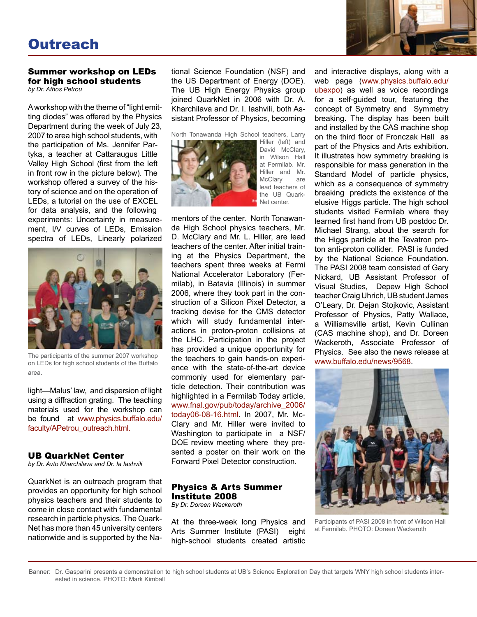# **Outreach**

# Summer workshop on LEDs for high school students

*by Dr. Athos Petrou*

A workshop with the theme of "light emitting diodes" was offered by the Physics Department during the week of July 23, 2007 to area high school students, with the participation of Ms. Jennifer Partyka, a teacher at Cattaraugus Little Valley High School (first from the left in front row in the picture below). The workshop offered a survey of the history of science and on the operation of LEDs, a tutorial on the use of EXCEL for data analysis, and the following experiments: Uncertainty in measurement, I/V curves of LEDs, Emission spectra of LEDs, Linearly polarized



The participants of the summer 2007 workshop on LEDs for high school students of the Buffalo area.

light—Malus' law, and dispersion of light using a diffraction grating. The teaching materials used for the workshop can be found at www.physics.buffalo.edu/ faculty/APetrou\_outreach.html.

## UB QuarkNet Center

*by Dr. Avto Kharchilava and Dr. Ia Iashvili*

QuarkNet is an outreach program that provides an opportunity for high school physics teachers and their students to come in close contact with fundamental research in particle physics. The Quark-Net has more than 45 university centers nationwide and is supported by the National Science Foundation (NSF) and the US Department of Energy (DOE). The UB High Energy Physics group joined QuarkNet in 2006 with Dr. A. Kharchilava and Dr. I. Iashvili, both Assistant Professor of Physics, becoming

North Tonawanda High School teachers, Larry



Hiller (left) and David McClary, in Wilson Hall at Fermilab. Mr. Hiller and Mr. McClary are lead teachers of the UB Quark-Net center.

mentors of the center. North Tonawanda High School physics teachers, Mr. D. McClary and Mr. L. Hiller, are lead teachers of the center. After initial training at the Physics Department, the teachers spent three weeks at Fermi National Accelerator Laboratory (Fermilab), in Batavia (Illinois) in summer 2006, where they took part in the construction of a Silicon Pixel Detector, a tracking devise for the CMS detector which will study fundamental interactions in proton-proton collisions at the LHC. Participation in the project has provided a unique opportunity for the teachers to gain hands-on experience with the state-of-the-art device commonly used for elementary particle detection. Their contribution was highlighted in a Fermilab Today article, www.fnal.gov/pub/today/archive\_2006/ today06-08-16.html. In 2007, Mr. Mc-Clary and Mr. Hiller were invited to Washington to participate in a NSF/ DOE review meeting where they presented a poster on their work on the Forward Pixel Detector construction.

# Physics & Arts Summer Institute 2008

*By Dr. Doreen Wackeroth*

At the three-week long Physics and Arts Summer Institute (PASI) eight high-school students created artistic

and interactive displays, along with a web page (www.physics.buffalo.edu/ ubexpo) as well as voice recordings for a self-guided tour, featuring the concept of Symmetry and Symmetry breaking. The display has been built and installed by the CAS machine shop on the third floor of Fronczak Hall as part of the Physics and Arts exhibition. It illustrates how symmetry breaking is responsible for mass generation in the Standard Model of particle physics, which as a consequence of symmetry breaking predicts the existence of the elusive Higgs particle. The high school students visited Fermilab where they learned first hand from UB postdoc Dr. Michael Strang, about the search for the Higgs particle at the Tevatron proton anti-proton collider. PASI is funded by the National Science Foundation. The PASI 2008 team consisted of Gary Nickard, UB Assistant Professor of Visual Studies, Depew High School teacher Craig Uhrich, UB student James O'Leary, Dr. Dejan Stojkovic, Assistant Professor of Physics, Patty Wallace, a Williamsville artist, Kevin Cullinan (CAS machine shop), and Dr. Doreen Wackeroth, Associate Professor of Physics. See also the news release at www.buffalo.edu/news/9568.



Participants of PASI 2008 in front of Wilson Hall at Fermilab. PHOTO: Doreen Wackeroth

Banner: Dr. Gasparini presents a demonstration to high school students at UB's Science Exploration Day that targets WNY high school students interested in science. PHOTO: Mark Kimball

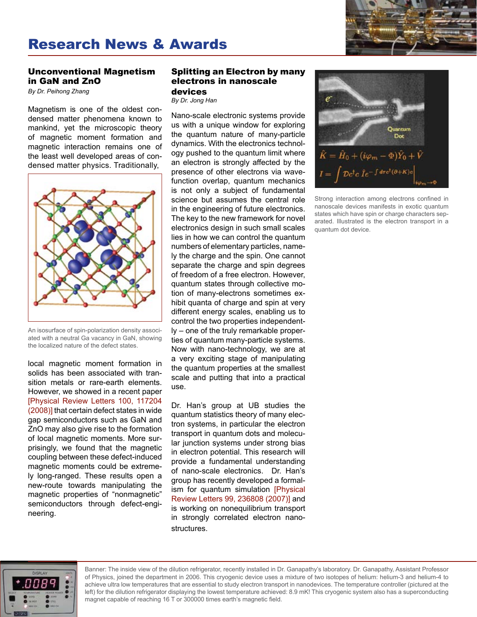

# Research News & Awards

# Unconventional Magnetism in GaN and ZnO

*By Dr. Peihong Zhang*

Magnetism is one of the oldest condensed matter phenomena known to mankind, yet the microscopic theory of magnetic moment formation and magnetic interaction remains one of the least well developed areas of condensed matter physics. Traditionally,



An isosurface of spin-polarization density associated with a neutral Ga vacancy in GaN, showing the localized nature of the defect states.

local magnetic moment formation in solids has been associated with transition metals or rare-earth elements. However, we showed in a recent paper [Physical Review Letters 100, 117204 (2008)] that certain defect states in wide gap semiconductors such as GaN and ZnO may also give rise to the formation of local magnetic moments. More surprisingly, we found that the magnetic coupling between these defect-induced magnetic moments could be extremely long-ranged. These results open a new-route towards manipulating the magnetic properties of "nonmagnetic" semiconductors through defect-engineering.

# Splitting an Electron by many electrons in nanoscale

#### devices

*By Dr. Jong Han*

Nano-scale electronic systems provide us with a unique window for exploring the quantum nature of many-particle dynamics. With the electronics technology pushed to the quantum limit where an electron is strongly affected by the presence of other electrons via wavefunction overlap, quantum mechanics is not only a subject of fundamental science but assumes the central role in the engineering of future electronics. The key to the new framework for novel electronics design in such small scales lies in how we can control the quantum numbers of elementary particles, namely the charge and the spin. One cannot separate the charge and spin degrees of freedom of a free electron. However, quantum states through collective motion of many-electrons sometimes exhibit quanta of charge and spin at very different energy scales, enabling us to control the two properties independently – one of the truly remarkable properties of quantum many-particle systems. Now with nano-technology, we are at a very exciting stage of manipulating the quantum properties at the smallest scale and putting that into a practical use.

Dr. Han's group at UB studies the quantum statistics theory of many electron systems, in particular the electron transport in quantum dots and molecular junction systems under strong bias in electron potential. This research will provide a fundamental understanding of nano-scale electronics. Dr. Han's group has recently developed a formalism for quantum simulation [Physical Review Letters 99, 236808 (2007)] and is working on nonequilibrium transport in strongly correlated electron nanostructures.



Strong interaction among electrons confined in nanoscale devices manifests in exotic quantum states which have spin or charge characters separated. Illustrated is the electron transport in a quantum dot device.



Banner: The inside view of the dilution refrigerator, recently installed in Dr. Ganapathy's laboratory. Dr. Ganapathy, Assistant Professor of Physics, joined the department in 2006. This cryogenic device uses a mixture of two isotopes of helium: helium-3 and helium-4 to achieve ultra low temperatures that are essential to study electron transport in nanodevices. The temperature controller (pictured at the left) for the dilution refrigerator displaying the lowest temperature achieved: 8.9 mK! This cryogenic system also has a superconducting magnet capable of reaching 16 T or 300000 times earth's magnetic field.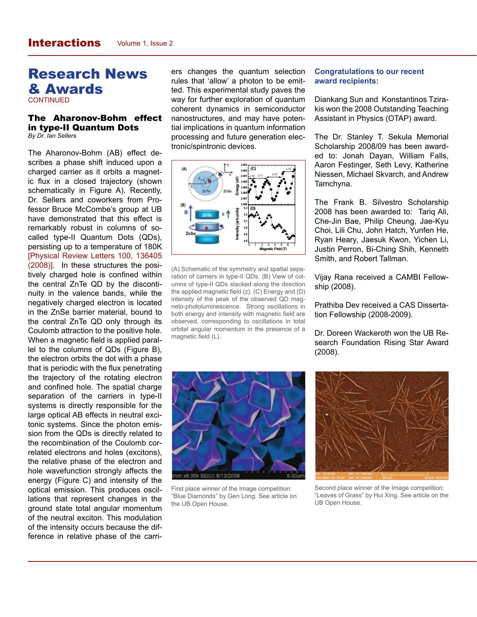# Research News & Awards

**CONTINUED** 

#### The Aharonov-Bohm effect in type-II Quantum Dots *By Dr. Ian Sellers*

The Aharonov-Bohm (AB) effect describes a phase shift induced upon a charged carrier as it orbits a magnetic flux in a closed trajectory (shown schematically in Figure A). Recently, Dr. Sellers and coworkers from Professor Bruce McCombe's group at UB have demonstrated that this effect is remarkably robust in columns of socalled type-II Quantum Dots (QDs), persisting up to a temperature of 180K [Physical Review Letters 100, 136405 (2008)]. In these structures the positively charged hole is confined within the central ZnTe QD by the discontinuity in the valence bands, while the negatively charged electron is located in the ZnSe barrier material, bound to the central ZnTe QD only through its Coulomb attraction to the positive hole. When a magnetic field is applied parallel to the columns of QDs (Figure B), the electron orbits the dot with a phase that is periodic with the flux penetrating the trajectory of the rotating electron and confined hole. The spatial charge separation of the carriers in type-II systems is directly responsible for the large optical AB effects in neutral excitonic systems. Since the photon emission from the QDs is directly related to the recombination of the Coulomb correlated electrons and holes (excitons), the relative phase of the electron and hole wavefunction strongly affects the energy (Figure C) and intensity of the optical emission. This produces oscillations that represent changes in the ground state total angular momentum of the neutral exciton. This modulation of the intensity occurs because the difference in relative phase of the carri-

ers changes the quantum selection rules that 'allow' a photon to be emitted. This experimental study paves the way for further exploration of quantum coherent dynamics in semiconductor nanostructures, and may have potential implications in quantum information processing and future generation electronic/spintronic devices.



(A) Schematic of the symmetry and spatial separation of carriers in type-II QDs. (B) View of columns of type-II QDs stacked along the direction the applied magnetic field (z). (C) Energy and (D) intensity of the peak of the observed QD magneto-photoluminescence. Strong oscillations in both energy and intensity with magnetic field are observed, corresponding to oscillations in total orbital angular momentum in the presence of a magnetic field (L).

## **Congratulations to our recent award recipients:**

Diankang Sun and Konstantinos Tzirakis won the 2008 Outstanding Teaching Assistant in Physics (OTAP) award.

The Dr. Stanley T. Sekula Memorial Scholarship 2008/09 has been awarded to: Jonah Dayan, William Falls, Aaron Festinger, Seth Levy, Katherine Niessen, Michael Skvarch, and Andrew Tamchyna.

The Frank B. Silvestro Scholarship 2008 has been awarded to: Tariq Ali, Che-Jin Bae, Philip Cheung, Jae-Kyu Choi, Lili Chu, John Hatch, Yunfen He, Ryan Heary, Jaesuk Kwon, Yichen Li, Justin Perron, Bi-Ching Shih, Kenneth Smith, and Robert Tallman.

Vijay Rana received a CAMBI Fellowship (2008).

Prathiba Dev received a CAS Dissertation Fellowship (2008-2009).

Dr. Doreen Wackeroth won the UB Research Foundation Rising Star Award (2008).



First place winner of the Image competition: "Blue Diamonds" by Gen Long. See article on the UB Open House.



Second place winner of the Image competition: "Leaves of Grass" by Hui Xing. See article on the UB Open House.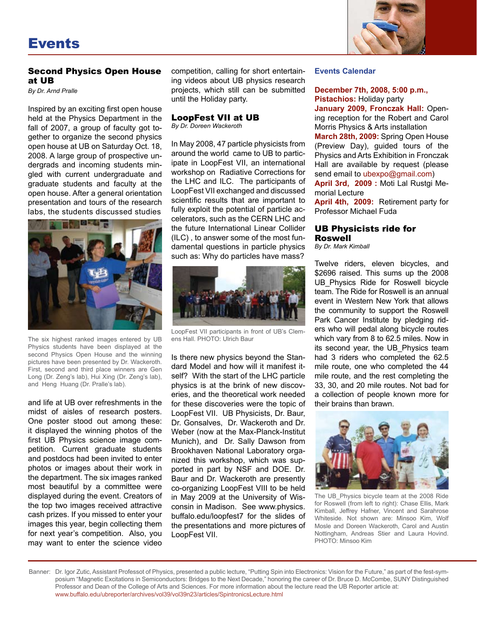

# Second Physics Open House at UB

*By Dr. Arnd Pralle*

Inspired by an exciting first open house held at the Physics Department in the fall of 2007, a group of faculty got together to organize the second physics open house at UB on Saturday Oct. 18, 2008. A large group of prospective undergrads and incoming students mingled with current undergraduate and graduate students and faculty at the open house. After a general orientation presentation and tours of the research labs, the students discussed studies



The six highest ranked images entered by UB Physics students have been displayed at the second Physics Open House and the winning pictures have been presented by Dr. Wackeroth. First, second and third place winners are Gen Long (Dr. Zeng's lab), Hui Xing (Dr. Zeng's lab), and Heng Huang (Dr. Pralle's lab).

and life at UB over refreshments in the midst of aisles of research posters. One poster stood out among these: it displayed the winning photos of the first UB Physics science image competition. Current graduate students and postdocs had been invited to enter photos or images about their work in the department. The six images ranked most beautiful by a committee were displayed during the event. Creators of the top two images received attractive cash prizes. If you missed to enter your images this year, begin collecting them for next year's competition. Also, you may want to enter the science video

competition, calling for short entertaining videos about UB physics research projects, which still can be submitted until the Holiday party.

# LoopFest VII at UB

*By Dr. Doreen Wackeroth*

In May 2008, 47 particle physicists from around the world came to UB to participate in LoopFest VII, an international workshop on Radiative Corrections for the LHC and ILC. The participants of LoopFest VII exchanged and discussed scientific results that are important to fully exploit the potential of particle accelerators, such as the CERN LHC and the future International Linear Collider (ILC) , to answer some of the most fundamental questions in particle physics such as: Why do particles have mass?



LoopFest VII participants in front of UB's Clemens Hall. PHOTO: Ulrich Baur

Is there new physics beyond the Standard Model and how will it manifest itself? With the start of the LHC particle physics is at the brink of new discoveries, and the theoretical work needed for these discoveries were the topic of LoopFest VII. UB Physicists, Dr. Baur, Dr. Gonsalves, Dr. Wackeroth and Dr. Weber (now at the Max-Planck-Institut Munich), and Dr. Sally Dawson from Brookhaven National Laboratory organized this workshop, which was supported in part by NSF and DOE. Dr. Baur and Dr. Wackeroth are presently co-organizing LoopFest VIII to be held in May 2009 at the University of Wisconsin in Madison. See www.physics. buffalo.edu/loopfest7 for the slides of the presentations and more pictures of LoopFest VII.

### **Events Calendar**

## **December 7th, 2008, 5:00 p.m., Pistachios:** Holiday party

**January 2009, Fronczak Hall:** Opening reception for the Robert and Carol Morris Physics & Arts installation

**March 28th, 2009:** Spring Open House (Preview Day), guided tours of the Physics and Arts Exhibition in Fronczak Hall are available by request (please send email to ubexpo@gmail.com)

**April 3rd, 2009 :** Moti Lal Rustgi Memorial Lecture

**April 4th, 2009:** Retirement party for Professor Michael Fuda

# UB Physicists ride for Roswell

*By Dr. Mark Kimball*

Twelve riders, eleven bicycles, and \$2696 raised. This sums up the 2008 UB\_Physics Ride for Roswell bicycle team. The Ride for Roswell is an annual event in Western New York that allows the community to support the Roswell Park Cancer Institute by pledging riders who will pedal along bicycle routes which vary from 8 to 62.5 miles. Now in its second year, the UB\_Physics team had 3 riders who completed the 62.5 mile route, one who completed the 44 mile route, and the rest completing the 33, 30, and 20 mile routes. Not bad for a collection of people known more for their brains than brawn.



The UB\_Physics bicycle team at the 2008 Ride for Roswell (from left to right): Chase Ellis, Mark Kimball, Jeffrey Hafner, Vincent and Sarahrose Whiteside. Not shown are: Minsoo Kim, Wolf Mosle and Doreen Wackeroth, Carol and Austin Nottingham, Andreas Stier and Laura Hovind. PHOTO: Minsoo Kim

Banner: Dr. Igor Zutic, Assistant Professot of Physics, presented a public lecture, "Putting Spin into Electronics: Vision for the Future," as part of the fest-symposium "Magnetic Excitations in Semiconductors: Bridges to the Next Decade," honoring the career of Dr. Bruce D. McCombe, SUNY Distinguished Professor and Dean of the College of Arts and Sciences. For more information about the lecture read the UB Reporter article at: www.buffalo.edu/ubreporter/archives/vol39/vol39n23/articles/SpintronicsLecture.html